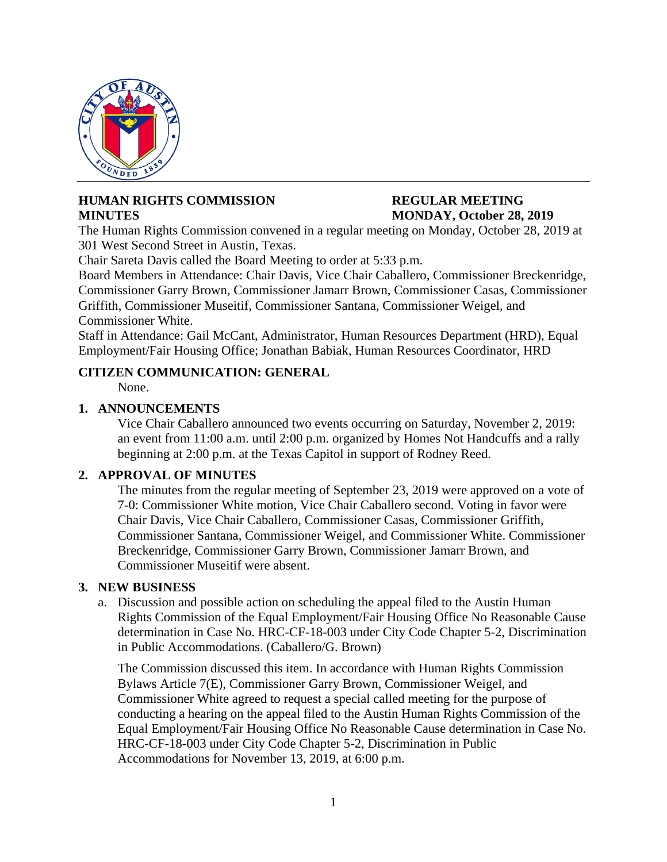

# **HUMAN RIGHTS COMMISSION REGULAR MEETING MINUTES** MONDAY, October 28, 2019

The Human Rights Commission convened in a regular meeting on Monday, October 28, 2019 at 301 West Second Street in Austin, Texas.

Chair Sareta Davis called the Board Meeting to order at 5:33 p.m.

Board Members in Attendance: Chair Davis, Vice Chair Caballero, Commissioner Breckenridge, Commissioner Garry Brown, Commissioner Jamarr Brown, Commissioner Casas, Commissioner Griffith, Commissioner Museitif, Commissioner Santana, Commissioner Weigel, and Commissioner White.

Staff in Attendance: Gail McCant, Administrator, Human Resources Department (HRD), Equal Employment/Fair Housing Office; Jonathan Babiak, Human Resources Coordinator, HRD

# **CITIZEN COMMUNICATION: GENERAL**

None.

# **1. ANNOUNCEMENTS**

Vice Chair Caballero announced two events occurring on Saturday, November 2, 2019: an event from 11:00 a.m. until 2:00 p.m. organized by Homes Not Handcuffs and a rally beginning at 2:00 p.m. at the Texas Capitol in support of Rodney Reed.

# **2. APPROVAL OF MINUTES**

The minutes from the regular meeting of September 23, 2019 were approved on a vote of 7-0: Commissioner White motion, Vice Chair Caballero second. Voting in favor were Chair Davis, Vice Chair Caballero, Commissioner Casas, Commissioner Griffith, Commissioner Santana, Commissioner Weigel, and Commissioner White. Commissioner Breckenridge, Commissioner Garry Brown, Commissioner Jamarr Brown, and Commissioner Museitif were absent.

### **3. NEW BUSINESS**

a. Discussion and possible action on scheduling the appeal filed to the Austin Human Rights Commission of the Equal Employment/Fair Housing Office No Reasonable Cause determination in Case No. HRC-CF-18-003 under City Code Chapter 5-2, Discrimination in Public Accommodations. (Caballero/G. Brown)

The Commission discussed this item. In accordance with Human Rights Commission Bylaws Article 7(E), Commissioner Garry Brown, Commissioner Weigel, and Commissioner White agreed to request a special called meeting for the purpose of conducting a hearing on the appeal filed to the Austin Human Rights Commission of the Equal Employment/Fair Housing Office No Reasonable Cause determination in Case No. HRC-CF-18-003 under City Code Chapter 5-2, Discrimination in Public Accommodations for November 13, 2019, at 6:00 p.m.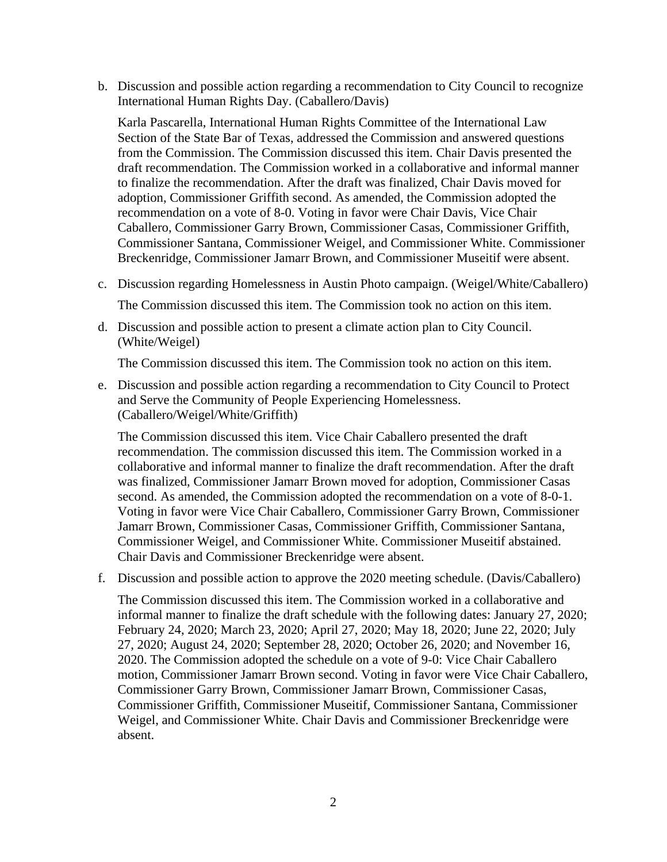b. Discussion and possible action regarding a recommendation to City Council to recognize International Human Rights Day. (Caballero/Davis)

Karla Pascarella, International Human Rights Committee of the International Law Section of the State Bar of Texas, addressed the Commission and answered questions from the Commission. The Commission discussed this item. Chair Davis presented the draft recommendation. The Commission worked in a collaborative and informal manner to finalize the recommendation. After the draft was finalized, Chair Davis moved for adoption, Commissioner Griffith second. As amended, the Commission adopted the recommendation on a vote of 8-0. Voting in favor were Chair Davis, Vice Chair Caballero, Commissioner Garry Brown, Commissioner Casas, Commissioner Griffith, Commissioner Santana, Commissioner Weigel, and Commissioner White. Commissioner Breckenridge, Commissioner Jamarr Brown, and Commissioner Museitif were absent.

- c. Discussion regarding Homelessness in Austin Photo campaign. (Weigel/White/Caballero) The Commission discussed this item. The Commission took no action on this item.
- d. Discussion and possible action to present a climate action plan to City Council. (White/Weigel)

The Commission discussed this item. The Commission took no action on this item.

e. Discussion and possible action regarding a recommendation to City Council to Protect and Serve the Community of People Experiencing Homelessness. (Caballero/Weigel/White/Griffith)

The Commission discussed this item. Vice Chair Caballero presented the draft recommendation. The commission discussed this item. The Commission worked in a collaborative and informal manner to finalize the draft recommendation. After the draft was finalized, Commissioner Jamarr Brown moved for adoption, Commissioner Casas second. As amended, the Commission adopted the recommendation on a vote of 8-0-1. Voting in favor were Vice Chair Caballero, Commissioner Garry Brown, Commissioner Jamarr Brown, Commissioner Casas, Commissioner Griffith, Commissioner Santana, Commissioner Weigel, and Commissioner White. Commissioner Museitif abstained. Chair Davis and Commissioner Breckenridge were absent.

f. Discussion and possible action to approve the 2020 meeting schedule. (Davis/Caballero)

The Commission discussed this item. The Commission worked in a collaborative and informal manner to finalize the draft schedule with the following dates: January 27, 2020; February 24, 2020; March 23, 2020; April 27, 2020; May 18, 2020; June 22, 2020; July 27, 2020; August 24, 2020; September 28, 2020; October 26, 2020; and November 16, 2020. The Commission adopted the schedule on a vote of 9-0: Vice Chair Caballero motion, Commissioner Jamarr Brown second. Voting in favor were Vice Chair Caballero, Commissioner Garry Brown, Commissioner Jamarr Brown, Commissioner Casas, Commissioner Griffith, Commissioner Museitif, Commissioner Santana, Commissioner Weigel, and Commissioner White. Chair Davis and Commissioner Breckenridge were absent.